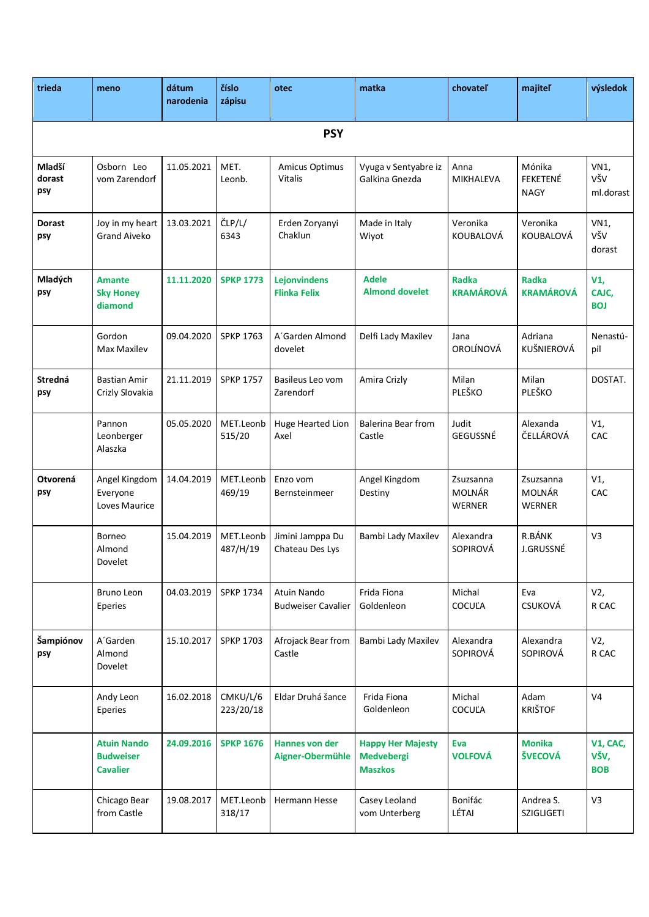| trieda                  | meno                                                      | dátum<br>narodenia | číslo<br>zápisu       | otec                                       | matka                                                           | chovateľ                                    | majiteľ                                     | výsledok                       |  |
|-------------------------|-----------------------------------------------------------|--------------------|-----------------------|--------------------------------------------|-----------------------------------------------------------------|---------------------------------------------|---------------------------------------------|--------------------------------|--|
| <b>PSY</b>              |                                                           |                    |                       |                                            |                                                                 |                                             |                                             |                                |  |
| Mladší<br>dorast<br>psy | Osborn Leo<br>vom Zarendorf                               | 11.05.2021         | MET.<br>Leonb.        | Amicus Optimus<br>Vitalis                  | Vyuga v Sentyabre iz<br>Galkina Gnezda                          | Anna<br>MIKHALEVA                           | Mónika<br>FEKETENÉ<br><b>NAGY</b>           | VN1,<br>VŠV<br>ml.dorast       |  |
| <b>Dorast</b><br>psy    | Joy in my heart<br><b>Grand Aiveko</b>                    | 13.03.2021         | ČLP/L/<br>6343        | Erden Zoryanyi<br>Chaklun                  | Made in Italy<br>Wiyot                                          | Veronika<br>KOUBALOVÁ                       | Veronika<br>KOUBALOVÁ                       | VN1,<br>VŠV<br>dorast          |  |
| Mladých<br>psy          | <b>Amante</b><br><b>Sky Honey</b><br>diamond              | 11.11.2020         | <b>SPKP 1773</b>      | <b>Lejonvindens</b><br><b>Flinka Felix</b> | <b>Adele</b><br><b>Almond dovelet</b>                           | <b>Radka</b><br><b>KRAMÁROVÁ</b>            | <b>Radka</b><br><b>KRAMÁROVÁ</b>            | V1,<br>CAJC,<br><b>BOJ</b>     |  |
|                         | Gordon<br>Max Maxilev                                     | 09.04.2020         | <b>SPKP 1763</b>      | A'Garden Almond<br>dovelet                 | Delfi Lady Maxilev                                              | Jana<br>OROLÍNOVÁ                           | Adriana<br>KUŠNIEROVÁ                       | Nenastú-<br>pil                |  |
| Stredná<br>psy          | Bastian Amir<br>Crizly Slovakia                           | 21.11.2019         | <b>SPKP 1757</b>      | Basileus Leo vom<br>Zarendorf              | Amira Crizly                                                    | Milan<br>PLEŠKO                             | Milan<br>PLEŠKO                             | DOSTAT.                        |  |
|                         | Pannon<br>Leonberger<br>Alaszka                           | 05.05.2020         | MET.Leonb<br>515/20   | Huge Hearted Lion<br>Axel                  | <b>Balerina Bear from</b><br>Castle                             | Judit<br>GEGUSSNÉ                           | Alexanda<br>ČELLÁROVÁ                       | V1,<br>CAC                     |  |
| Otvorená<br>psy         | Angel Kingdom<br>Everyone<br>Loves Maurice                | 14.04.2019         | MET.Leonb<br>469/19   | Enzo vom<br>Bernsteinmeer                  | Angel Kingdom<br>Destiny                                        | Zsuzsanna<br><b>MOLNÁR</b><br><b>WERNER</b> | Zsuzsanna<br><b>MOLNÁR</b><br><b>WERNER</b> | V1,<br>CAC                     |  |
|                         | Borneo<br>Almond<br>Dovelet                               | 15.04.2019         | MET.Leonb<br>487/H/19 | Jimini Jamppa Du<br>Chateau Des Lys        | Bambi Lady Maxilev                                              | Alexandra<br>SOPIROVÁ                       | R.BÁNK<br>J.GRUSSNÉ                         | V3                             |  |
|                         | Bruno Leon<br>Eperies                                     | 04.03.2019         | <b>SPKP 1734</b>      | Atuin Nando<br><b>Budweiser Cavalier</b>   | Frida Fiona<br>Goldenleon                                       | Michal<br><b>COCULA</b>                     | Eva<br><b>CSUKOVÁ</b>                       | V2,<br>R CAC                   |  |
| Šampiónov<br>psy        | A'Garden<br>Almond<br>Dovelet                             | 15.10.2017         | <b>SPKP 1703</b>      | Afrojack Bear from<br>Castle               | Bambi Lady Maxilev                                              | Alexandra<br>SOPIROVÁ                       | Alexandra<br>SOPIROVÁ                       | V2,<br>R CAC                   |  |
|                         | Andy Leon<br>Eperies                                      | 16.02.2018         | CMKU/L/6<br>223/20/18 | Eldar Druhá šance                          | Frida Fiona<br>Goldenleon                                       | Michal<br>COCUĽA                            | Adam<br><b>KRIŠTOF</b>                      | V <sub>4</sub>                 |  |
|                         | <b>Atuin Nando</b><br><b>Budweiser</b><br><b>Cavalier</b> | 24.09.2016         | <b>SPKP 1676</b>      | Hannes von der<br>Aigner-Obermühle         | <b>Happy Her Majesty</b><br><b>Medvebergi</b><br><b>Maszkos</b> | Eva<br><b>VOLFOVÁ</b>                       | <b>Monika</b><br>ŠVECOVÁ                    | V1, CAC,<br>VŠV,<br><b>BOB</b> |  |
|                         | Chicago Bear<br>from Castle                               | 19.08.2017         | MET.Leonb<br>318/17   | Hermann Hesse                              | Casey Leoland<br>vom Unterberg                                  | Bonifác<br>LÉTAI                            | Andrea S.<br><b>SZIGLIGETI</b>              | V3                             |  |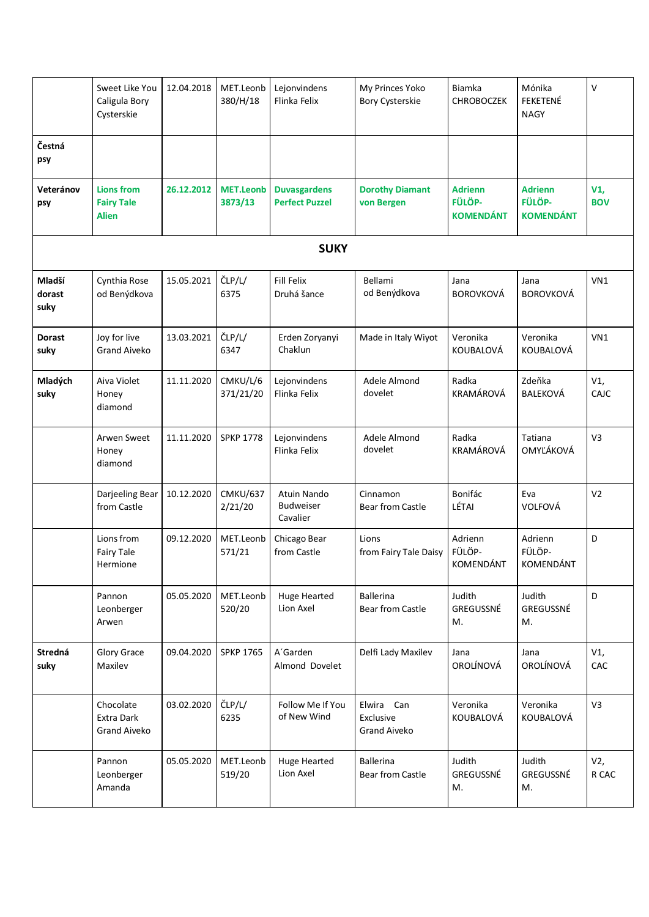|                          | Sweet Like You<br>Caligula Bory<br>Cysterskie          | 12.04.2018 | MET.Leonb<br>380/H/18       | Lejonvindens<br>Flinka Felix                 | My Princes Yoko<br>Bory Cysterskie             | Biamka<br><b>CHROBOCZEK</b>                  | Mónika<br>FEKETENÉ<br><b>NAGY</b>            | V                 |
|--------------------------|--------------------------------------------------------|------------|-----------------------------|----------------------------------------------|------------------------------------------------|----------------------------------------------|----------------------------------------------|-------------------|
| Čestná<br>psy            |                                                        |            |                             |                                              |                                                |                                              |                                              |                   |
| Veteránov<br>psy         | <b>Lions from</b><br><b>Fairy Tale</b><br><b>Alien</b> | 26.12.2012 | <b>MET.Leonb</b><br>3873/13 | <b>Duvasgardens</b><br><b>Perfect Puzzel</b> | <b>Dorothy Diamant</b><br>von Bergen           | <b>Adrienn</b><br>FÜLÖP-<br><b>KOMENDÁNT</b> | <b>Adrienn</b><br>FÜLÖP-<br><b>KOMENDÁNT</b> | V1,<br><b>BOV</b> |
|                          |                                                        |            |                             | <b>SUKY</b>                                  |                                                |                                              |                                              |                   |
| Mladší<br>dorast<br>suky | Cynthia Rose<br>od Benýdkova                           | 15.05.2021 | ČLP/L/<br>6375              | <b>Fill Felix</b><br>Druhá šance             | Bellami<br>od Benýdkova                        | Jana<br><b>BOROVKOVÁ</b>                     | Jana<br><b>BOROVKOVÁ</b>                     | VN1               |
| <b>Dorast</b><br>suky    | Joy for live<br><b>Grand Aiveko</b>                    | 13.03.2021 | ČLP/L/<br>6347              | Erden Zoryanyi<br>Chaklun                    | Made in Italy Wiyot                            | Veronika<br>KOUBALOVÁ                        | Veronika<br>KOUBALOVÁ                        | VN1               |
| Mladých<br>suky          | Aiva Violet<br>Honey<br>diamond                        | 11.11.2020 | CMKU/L/6<br>371/21/20       | Lejonvindens<br>Flinka Felix                 | Adele Almond<br>dovelet                        | Radka<br>KRAMÁROVÁ                           | Zdeňka<br><b>BALEKOVÁ</b>                    | V1,<br>CAJC       |
|                          | Arwen Sweet<br>Honey<br>diamond                        | 11.11.2020 | <b>SPKP 1778</b>            | Lejonvindens<br>Flinka Felix                 | Adele Almond<br>dovelet                        | Radka<br>KRAMÁROVÁ                           | Tatiana<br>OMYĽÁKOVÁ                         | V3                |
|                          | Darjeeling Bear<br>from Castle                         | 10.12.2020 | <b>CMKU/637</b><br>2/21/20  | Atuin Nando<br><b>Budweiser</b><br>Cavalier  | Cinnamon<br><b>Bear from Castle</b>            | Bonifác<br>LÉTAI                             | Eva<br>VOLFOVÁ                               | V <sub>2</sub>    |
|                          | Lions from<br>Fairy Tale<br>Hermione                   | 09.12.2020 | MET.Leonb<br>571/21         | Chicago Bear<br>from Castle                  | Lions<br>from Fairy Tale Daisy                 | Adrienn<br>FÜLÖP-<br>KOMENDÁNT               | Adrienn<br>FÜLÖP-<br>KOMENDÁNT               | D                 |
|                          | Pannon<br>Leonberger<br>Arwen                          | 05.05.2020 | MET.Leonb<br>520/20         | <b>Huge Hearted</b><br>Lion Axel             | <b>Ballerina</b><br><b>Bear from Castle</b>    | Judith<br>GREGUSSNÉ<br>М.                    | Judith<br>GREGUSSNÉ<br>М.                    | D                 |
| Stredná<br>suky          | Glory Grace<br>Maxilev                                 | 09.04.2020 | <b>SPKP 1765</b>            | A'Garden<br>Almond Dovelet                   | Delfi Lady Maxilev                             | Jana<br>OROLÍNOVÁ                            | Jana<br>OROLÍNOVÁ                            | V1,<br>CAC        |
|                          | Chocolate<br>Extra Dark<br><b>Grand Aiveko</b>         | 03.02.2020 | ČLP/L/<br>6235              | Follow Me If You<br>of New Wind              | Elwira Can<br>Exclusive<br><b>Grand Aiveko</b> | Veronika<br>KOUBALOVÁ                        | Veronika<br>KOUBALOVÁ                        | V3                |
|                          | Pannon<br>Leonberger<br>Amanda                         | 05.05.2020 | MET.Leonb<br>519/20         | <b>Huge Hearted</b><br>Lion Axel             | <b>Ballerina</b><br><b>Bear from Castle</b>    | Judith<br>GREGUSSNÉ<br>М.                    | Judith<br>GREGUSSNÉ<br>М.                    | V2,<br>R CAC      |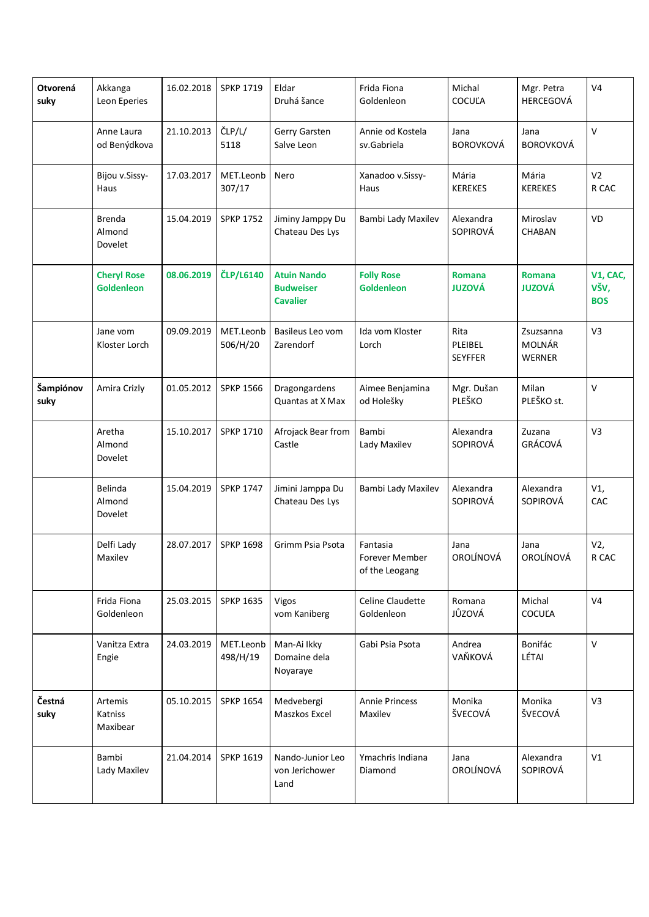| Otvorená<br>suky  | Akkanga<br>Leon Eperies                 | 16.02.2018 | <b>SPKP 1719</b>      | Eldar<br>Druhá šance                                      | Frida Fiona<br>Goldenleon                    | Michal<br>COCUĽA                  | Mgr. Petra<br>HERCEGOVÁ                     | V <sub>4</sub>                 |
|-------------------|-----------------------------------------|------------|-----------------------|-----------------------------------------------------------|----------------------------------------------|-----------------------------------|---------------------------------------------|--------------------------------|
|                   | Anne Laura<br>od Benýdkova              | 21.10.2013 | ČLP/L/<br>5118        | Gerry Garsten<br>Salve Leon                               | Annie od Kostela<br>sv.Gabriela              | Jana<br><b>BOROVKOVÁ</b>          | Jana<br><b>BOROVKOVÁ</b>                    | V                              |
|                   | Bijou v.Sissy-<br>Haus                  | 17.03.2017 | MET.Leonb<br>307/17   | Nero                                                      | Xanadoo v.Sissy-<br>Haus                     | Mária<br><b>KEREKES</b>           | Mária<br><b>KEREKES</b>                     | V <sub>2</sub><br>R CAC        |
|                   | <b>Brenda</b><br>Almond<br>Dovelet      | 15.04.2019 | <b>SPKP 1752</b>      | Jiminy Jamppy Du<br>Chateau Des Lys                       | Bambi Lady Maxilev                           | Alexandra<br>SOPIROVÁ             | Miroslav<br>CHABAN                          | VD                             |
|                   | <b>Cheryl Rose</b><br><b>Goldenleon</b> | 08.06.2019 | <b>ČLP/L6140</b>      | <b>Atuin Nando</b><br><b>Budweiser</b><br><b>Cavalier</b> | <b>Folly Rose</b><br><b>Goldenleon</b>       | <b>Romana</b><br><b>JUZOVÁ</b>    | <b>Romana</b><br><b>JUZOVÁ</b>              | V1, CAC,<br>VŠV,<br><b>BOS</b> |
|                   | Jane vom<br>Kloster Lorch               | 09.09.2019 | MET.Leonb<br>506/H/20 | Basileus Leo vom<br>Zarendorf                             | Ida vom Kloster<br>Lorch                     | Rita<br>PLEIBEL<br><b>SEYFFER</b> | Zsuzsanna<br><b>MOLNÁR</b><br><b>WERNER</b> | V3                             |
| Šampiónov<br>suky | Amira Crizly                            | 01.05.2012 | <b>SPKP 1566</b>      | Dragongardens<br>Quantas at X Max                         | Aimee Benjamina<br>od Holešky                | Mgr. Dušan<br>PLEŠKO              | Milan<br>PLEŠKO st.                         | V                              |
|                   | Aretha<br>Almond<br>Dovelet             | 15.10.2017 | <b>SPKP 1710</b>      | Afrojack Bear from<br>Castle                              | Bambi<br>Lady Maxilev                        | Alexandra<br>SOPIROVÁ             | Zuzana<br>GRÁCOVÁ                           | V3                             |
|                   | Belinda<br>Almond<br>Dovelet            | 15.04.2019 | <b>SPKP 1747</b>      | Jimini Jamppa Du<br>Chateau Des Lys                       | Bambi Lady Maxilev                           | Alexandra<br>SOPIROVÁ             | Alexandra<br>SOPIROVÁ                       | V1,<br>CAC                     |
|                   | Delfi Lady<br>Maxilev                   | 28.07.2017 | <b>SPKP 1698</b>      | Grimm Psia Psota                                          | Fantasia<br>Forever Member<br>of the Leogang | Jana<br>OROLÍNOVÁ                 | Jana<br>OROLÍNOVÁ                           | V2,<br>R CAC                   |
|                   | Frida Fiona<br>Goldenleon               | 25.03.2015 | <b>SPKP 1635</b>      | Vigos<br>vom Kaniberg                                     | Celine Claudette<br>Goldenleon               | Romana<br>JŮZOVÁ                  | Michal<br><b>COCULA</b>                     | V <sub>4</sub>                 |
|                   | Vanitza Extra<br>Engie                  | 24.03.2019 | MET.Leonb<br>498/H/19 | Man-Ai Ikky<br>Domaine dela<br>Noyaraye                   | Gabi Psia Psota                              | Andrea<br>VAŇKOVÁ                 | Bonifác<br>LÉTAI                            | $\vee$                         |
| Čestná<br>suky    | Artemis<br>Katniss<br>Maxibear          | 05.10.2015 | <b>SPKP 1654</b>      | Medvebergi<br>Maszkos Excel                               | <b>Annie Princess</b><br>Maxilev             | Monika<br>ŠVECOVÁ                 | Monika<br>ŠVECOVÁ                           | V3                             |
|                   | Bambi<br>Lady Maxilev                   | 21.04.2014 | <b>SPKP 1619</b>      | Nando-Junior Leo<br>von Jerichower<br>Land                | Ymachris Indiana<br>Diamond                  | Jana<br>OROLÍNOVÁ                 | Alexandra<br>SOPIROVÁ                       | V1                             |